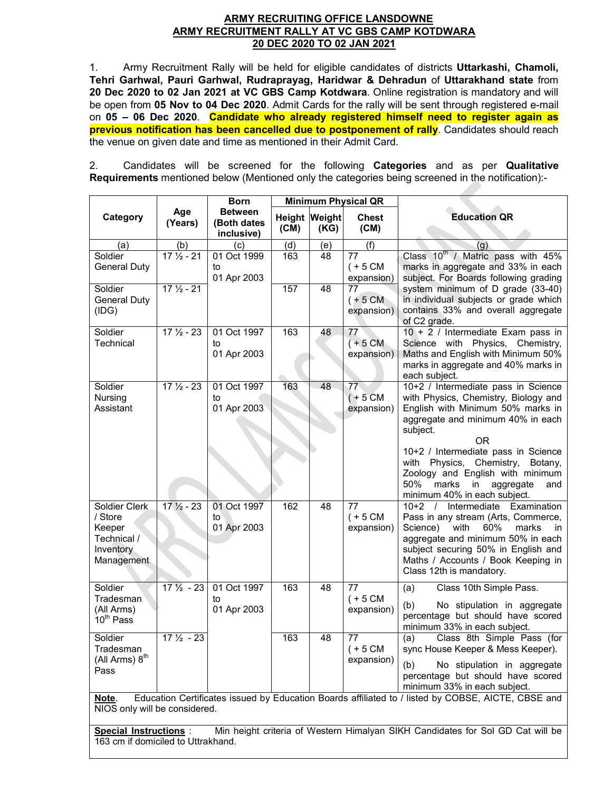#### **ARMY RECRUITING OFFICE LANSDOWNE ARMY RECRUITMENT RALLY AT VC GBS CAMP KOTDWARA 20 DEC 2020 TO 02 JAN 2021**

1. Army Recruitment Rally will be held for eligible candidates of districts **Uttarkashi, Chamoli, Tehri Garhwal, Pauri Garhwal, Rudraprayag, Haridwar & Dehradun** of **Uttarakhand state** from **20 Dec 2020 to 02 Jan 2021 at VC GBS Camp Kotdwara**. Online registration is mandatory and will be open from **05 Nov to 04 Dec 2020**. Admit Cards for the rally will be sent through registered e-mail on **05 – 06 Dec 2020**. **Candidate who already registered himself need to register again as previous notification has been cancelled due to postponement of rally**. Candidates should reach the venue on given date and time as mentioned in their Admit Card.

2. Candidates will be screened for the following **Categories** and as per **Qualitative Requirements** mentioned below (Mentioned only the categories being screened in the notification):-

|                                                                              |                      | <b>Born</b>                                 |      |                       | <b>Minimum Physical QR</b>                  |                                                                                                                                                                                                                                                                                                                                     |
|------------------------------------------------------------------------------|----------------------|---------------------------------------------|------|-----------------------|---------------------------------------------|-------------------------------------------------------------------------------------------------------------------------------------------------------------------------------------------------------------------------------------------------------------------------------------------------------------------------------------|
| Category                                                                     | Age<br>(Years)       | <b>Between</b><br>(Both dates<br>inclusive) | (CM) | Height Weight<br>(KG) | <b>Chest</b><br>(CM)                        | <b>Education QR</b>                                                                                                                                                                                                                                                                                                                 |
| (a)                                                                          | (b)                  | (c)                                         | (d)  | (e)                   | (f)                                         | (q)                                                                                                                                                                                                                                                                                                                                 |
| Soldier<br><b>General Duty</b>                                               | $17\frac{1}{2} - 21$ | 01 Oct 1999<br>to<br>01 Apr 2003            | 163  | 48                    | 77<br>$(+ 5 CM)$<br>expansion)              | Class 10 <sup>th</sup> / Matric pass with 45%<br>marks in aggregate and 33% in each<br>subject. For Boards following grading                                                                                                                                                                                                        |
| Soldier<br><b>General Duty</b><br>(IDG)                                      | $17\frac{1}{2} - 21$ |                                             | 157  | 48                    | 77<br>$(+ 5 \text{CM})$<br>expansion)       | system minimum of D grade (33-40)<br>in individual subjects or grade which<br>contains 33% and overall aggregate<br>of C2 grade.                                                                                                                                                                                                    |
| Soldier<br>Technical                                                         | $17\frac{1}{2} - 23$ | 01 Oct 1997<br>to<br>01 Apr 2003            | 163  | 48                    | 77<br>$(+5 \text{ CM})$<br>expansion)       | 10 + 2 / Intermediate Exam pass in<br>Science with Physics, Chemistry,<br>Maths and English with Minimum 50%<br>marks in aggregate and 40% marks in<br>each subject.                                                                                                                                                                |
| Soldier<br>Nursing<br>Assistant                                              | $17\frac{1}{2} - 23$ | 01 Oct 1997<br>to<br>01 Apr 2003            | 163  | 48                    | 77<br>$(+ 5 CM)$<br>expansion)              | 10+2 / Intermediate pass in Science<br>with Physics, Chemistry, Biology and<br>English with Minimum 50% marks in<br>aggregate and minimum 40% in each<br>subject.<br>0R<br>10+2 / Intermediate pass in Science<br>with Physics, Chemistry,<br>Botany,<br>Zoology and English with minimum<br>50%<br>marks<br>aggregate<br>in<br>and |
| Soldier Clerk<br>/ Store<br>Keeper<br>Technical /<br>Inventory<br>Management | $17\frac{1}{2} - 23$ | 01 Oct 1997<br>to<br>01 Apr 2003            | 162  | 48                    | 77<br>$(+ 5 CM)$<br>expansion)              | minimum 40% in each subject.<br>Examination<br>Intermediate<br>$10+2$<br>$\sqrt{ }$<br>Pass in any stream (Arts, Commerce,<br>60%<br>Science)<br>with<br>marks<br>in.<br>aggregate and minimum 50% in each<br>subject securing 50% in English and<br>Maths / Accounts / Book Keeping in<br>Class 12th is mandatory.                 |
| Soldier<br>Tradesman<br>(All Arms)<br>$10^{th}$ Pass                         | $17\frac{1}{2}$ - 23 | 01 Oct 1997<br>to<br>01 Apr 2003            | 163  | 48                    | $\overline{77}$<br>$(+ 5 CM)$<br>expansion) | Class 10th Simple Pass.<br>(a)<br>(b)<br>No stipulation in aggregate<br>percentage but should have scored<br>minimum 33% in each subject.                                                                                                                                                                                           |
| Soldier<br>Tradesman<br>(All Arms) 8 <sup>th</sup><br>Pass                   | $17\frac{1}{2} - 23$ |                                             | 163  | 48                    | 77<br>$(+ 5 CM)$<br>expansion)              | Class 8th Simple Pass (for<br>(a)<br>sync House Keeper & Mess Keeper).<br>No stipulation in aggregate<br>(b)<br>percentage but should have scored<br>minimum 33% in each subject.                                                                                                                                                   |
| Note.<br>NIOS only will be considered.                                       |                      |                                             |      |                       |                                             | Education Certificates issued by Education Boards affiliated to / listed by COBSE, AICTE, CBSE and                                                                                                                                                                                                                                  |
| <b>Special Instructions:</b><br>163 cm if domiciled to Uttrakhand.           |                      |                                             |      |                       |                                             | Min height criteria of Western Himalyan SIKH Candidates for Sol GD Cat will be                                                                                                                                                                                                                                                      |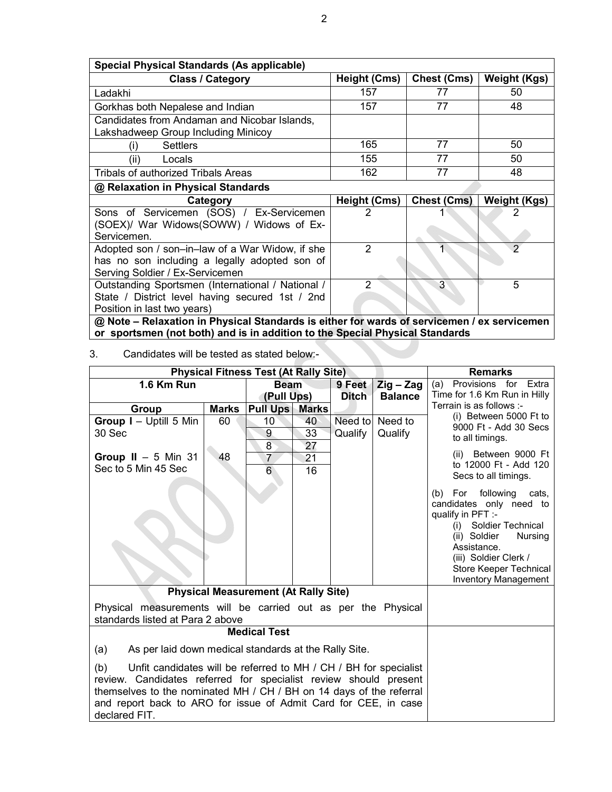| Special Physical Standards (As applicable)                                          |                     |                    |                     |  |  |
|-------------------------------------------------------------------------------------|---------------------|--------------------|---------------------|--|--|
| <b>Class / Category</b>                                                             | <b>Height (Cms)</b> | <b>Chest (Cms)</b> | <b>Weight (Kgs)</b> |  |  |
| Ladakhi                                                                             | 157                 | 77                 | 50                  |  |  |
| Gorkhas both Nepalese and Indian                                                    | 157                 | 77                 | 48                  |  |  |
| Candidates from Andaman and Nicobar Islands,<br>Lakshadweep Group Including Minicoy |                     |                    |                     |  |  |
| <b>Settlers</b><br>(i)                                                              | 165                 | 77                 | 50                  |  |  |
| (ii)<br>Locals                                                                      | 155                 | 77                 | 50                  |  |  |
| Tribals of authorized Tribals Areas                                                 | 162                 | 77                 | 48                  |  |  |
| @ Relaxation in Physical Standards                                                  |                     |                    |                     |  |  |
|                                                                                     |                     |                    |                     |  |  |
| Category                                                                            | <b>Height (Cms)</b> | <b>Chest (Cms)</b> | <b>Weight (Kgs)</b> |  |  |
| Sons of Servicemen (SOS) / Ex-Servicemen                                            |                     |                    |                     |  |  |
| (SOEX)/ War Widows(SOWW) / Widows of Ex-                                            |                     |                    |                     |  |  |
| Servicemen.                                                                         |                     |                    |                     |  |  |
| Adopted son / son-in-law of a War Widow, if she                                     | 2                   |                    | $\overline{2}$      |  |  |
| has no son including a legally adopted son of                                       |                     |                    |                     |  |  |
| Serving Soldier / Ex-Servicemen                                                     |                     |                    |                     |  |  |
| Outstanding Sportsmen (International / National /                                   | 2                   | 3                  | 5                   |  |  |
| State / District level having secured 1st / 2nd                                     |                     |                    |                     |  |  |
| Position in last two years)                                                         |                     |                    |                     |  |  |

**@ Note – Relaxation in Physical Standards is either for wards of servicemen / ex servicemen or sportsmen (not both) and is in addition to the Special Physical Standards** 

3. Candidates will be tested as stated below:-

| <b>Physical Fitness Test (At Rally Site)</b>                                                                                                                                                                                                                                                           | <b>Remarks</b> |                                      |                           |         |                                                       |                                                                                                                                                                                                                                          |
|--------------------------------------------------------------------------------------------------------------------------------------------------------------------------------------------------------------------------------------------------------------------------------------------------------|----------------|--------------------------------------|---------------------------|---------|-------------------------------------------------------|------------------------------------------------------------------------------------------------------------------------------------------------------------------------------------------------------------------------------------------|
| 1.6 Km Run                                                                                                                                                                                                                                                                                             |                |                                      | <b>Beam</b><br>(Pull Ups) |         | Zig - Zag<br>9 Feet<br><b>Balance</b><br><b>Ditch</b> | Provisions for Extra<br>(a)<br>Time for 1.6 Km Run in Hilly                                                                                                                                                                              |
| Group                                                                                                                                                                                                                                                                                                  | <b>Marks</b>   | <b>Pull Ups Marks</b>                |                           |         |                                                       | Terrain is as follows :-                                                                                                                                                                                                                 |
| Group I - Uptill 5 Min<br>30 Sec                                                                                                                                                                                                                                                                       | 60             | 10<br>9<br>8                         | 40<br>33<br>27            | Qualify | Need to Need to<br>Qualify                            | (i) Between 5000 Ft to<br>9000 Ft - Add 30 Secs<br>to all timings.                                                                                                                                                                       |
| Group II $-5$ Min 31<br>Sec to 5 Min 45 Sec                                                                                                                                                                                                                                                            | 48             | $\overline{7}$<br>$6\overline{6}$    | 21<br>16                  |         |                                                       | Between 9000 Ft<br>(ii)<br>to 12000 Ft - Add 120<br>Secs to all timings.                                                                                                                                                                 |
|                                                                                                                                                                                                                                                                                                        |                |                                      |                           |         |                                                       | following<br>For<br>(b)<br>cats,<br>candidates only need to<br>qualify in PFT :-<br>Soldier Technical<br>(i)<br>(ii) Soldier<br>Nursing<br>Assistance.<br>(iii) Soldier Clerk /<br>Store Keeper Technical<br><b>Inventory Management</b> |
|                                                                                                                                                                                                                                                                                                        |                | Physical Measurement (At Rally Site) |                           |         |                                                       |                                                                                                                                                                                                                                          |
| Physical measurements will be carried out as per the Physical<br>standards listed at Para 2 above                                                                                                                                                                                                      |                |                                      |                           |         |                                                       |                                                                                                                                                                                                                                          |
| <b>Medical Test</b>                                                                                                                                                                                                                                                                                    |                |                                      |                           |         |                                                       |                                                                                                                                                                                                                                          |
| As per laid down medical standards at the Rally Site.<br>(a)                                                                                                                                                                                                                                           |                |                                      |                           |         |                                                       |                                                                                                                                                                                                                                          |
| (b)<br>Unfit candidates will be referred to MH / CH / BH for specialist<br>review. Candidates referred for specialist review should present<br>themselves to the nominated MH / CH / BH on 14 days of the referral<br>and report back to ARO for issue of Admit Card for CEE, in case<br>declared FIT. |                |                                      |                           |         |                                                       |                                                                                                                                                                                                                                          |

2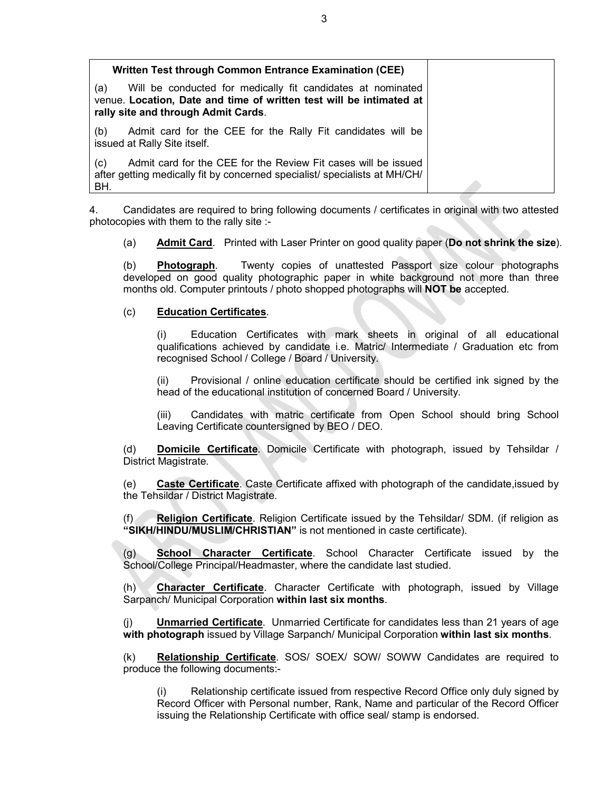| Written Test through Common Entrance Examination (CEE)                                                                                                                           |  |
|----------------------------------------------------------------------------------------------------------------------------------------------------------------------------------|--|
| Will be conducted for medically fit candidates at nominated<br>(a)<br>venue. Location, Date and time of written test will be intimated at<br>rally site and through Admit Cards. |  |
| Admit card for the CEE for the Rally Fit candidates will be<br>(b)<br>issued at Rally Site itself.                                                                               |  |
| Admit card for the CEE for the Review Fit cases will be issued<br>(c)<br>after getting medically fit by concerned specialist/ specialists at MH/CH/<br>BH.                       |  |

4. Candidates are required to bring following documents / certificates in original with two attested photocopies with them to the rally site :-

(a) **Admit Card**. Printed with Laser Printer on good quality paper (**Do not shrink the size**).

(b) **Photograph**. Twenty copies of unattested Passport size colour photographs developed on good quality photographic paper in white background not more than three months old. Computer printouts / photo shopped photographs will **NOT be** accepted.

#### (c) **Education Certificates**.

(i) Education Certificates with mark sheets in original of all educational qualifications achieved by candidate i.e. Matric/ Intermediate / Graduation etc from recognised School / College / Board / University.

(ii) Provisional / online education certificate should be certified ink signed by the head of the educational institution of concerned Board / University.

(iii) Candidates with matric certificate from Open School should bring School Leaving Certificate countersigned by BEO / DEO.

(d) **Domicile Certificate**. Domicile Certificate with photograph, issued by Tehsildar / District Magistrate.

(e) **Caste Certificate**. Caste Certificate affixed with photograph of the candidate,issued by the Tehsildar / District Magistrate.

Religion Certificate. Religion Certificate issued by the Tehsildar/ SDM. (if religion as **"SIKH/HINDU/MUSLIM/CHRISTIAN"** is not mentioned in caste certificate).

(g) **School Character Certificate**. School Character Certificate issued by the School/College Principal/Headmaster, where the candidate last studied.

(h) **Character Certificate**. Character Certificate with photograph, issued by Village Sarpanch/ Municipal Corporation **within last six months**.

(j) **Unmarried Certificate**. Unmarried Certificate for candidates less than 21 years of age **with photograph** issued by Village Sarpanch/ Municipal Corporation **within last six months**.

(k) **Relationship Certificate**. SOS/ SOEX/ SOW/ SOWW Candidates are required to produce the following documents:-

(i) Relationship certificate issued from respective Record Office only duly signed by Record Officer with Personal number, Rank, Name and particular of the Record Officer issuing the Relationship Certificate with office seal/ stamp is endorsed.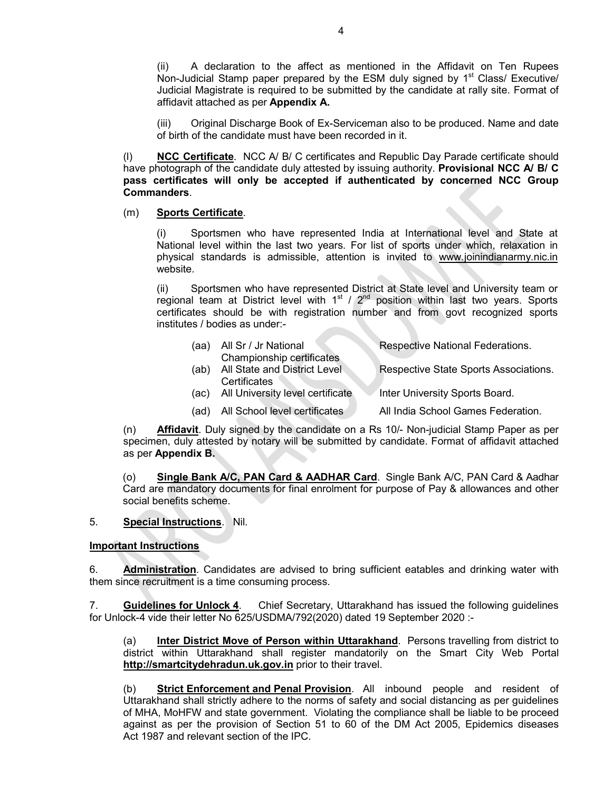(ii) A declaration to the affect as mentioned in the Affidavit on Ten Rupees Non-Judicial Stamp paper prepared by the ESM duly signed by  $1<sup>st</sup>$  Class/ Executive/ Judicial Magistrate is required to be submitted by the candidate at rally site. Format of affidavit attached as per **Appendix A.**

(iii) Original Discharge Book of Ex-Serviceman also to be produced. Name and date of birth of the candidate must have been recorded in it.

(l) **NCC Certificate**. NCC A/ B/ C certificates and Republic Day Parade certificate should have photograph of the candidate duly attested by issuing authority. **Provisional NCC A/ B/ C pass certificates will only be accepted if authenticated by concerned NCC Group Commanders**.

#### (m) **Sports Certificate**.

(i) Sportsmen who have represented India at International level and State at National level within the last two years. For list of sports under which, relaxation in physical standards is admissible, attention is invited to www.joinindianarmy.nic.in website.

(ii) Sportsmen who have represented District at State level and University team or regional team at District level with  $1<sup>st</sup>$  /  $2<sup>nd</sup>$  position within last two years. Sports certificates should be with registration number and from govt recognized sports institutes / bodies as under:-

| (aa) | All Sr / Jr National<br>Championship certificates | Respective National Federations.      |
|------|---------------------------------------------------|---------------------------------------|
| (ab) | All State and District Level                      | Respective State Sports Associations. |
| (ac) | Certificates<br>All University level certificate  | Inter University Sports Board.        |
| (ad) | All School level certificates                     | All India School Games Federation.    |

(n) **Affidavit**. Duly signed by the candidate on a Rs 10/- Non-judicial Stamp Paper as per specimen, duly attested by notary will be submitted by candidate. Format of affidavit attached as per **Appendix B.**

(o) **Single Bank A/C, PAN Card & AADHAR Card**. Single Bank A/C, PAN Card & Aadhar Card are mandatory documents for final enrolment for purpose of Pay & allowances and other social benefits scheme.

#### 5. **Special Instructions**. Nil.

#### **Important Instructions**

6. **Administration**. Candidates are advised to bring sufficient eatables and drinking water with them since recruitment is a time consuming process.

7. **Guidelines for Unlock 4**. Chief Secretary, Uttarakhand has issued the following guidelines for Unlock-4 vide their letter No 625/USDMA/792(2020) dated 19 September 2020 :-

(a) **Inter District Move of Person within Uttarakhand**. Persons travelling from district to district within Uttarakhand shall register mandatorily on the Smart City Web Portal **http://smartcitydehradun.uk.gov.in** prior to their travel.

(b) **Strict Enforcement and Penal Provision**. All inbound people and resident of Uttarakhand shall strictly adhere to the norms of safety and social distancing as per guidelines of MHA, MoHFW and state government. Violating the compliance shall be liable to be proceed against as per the provision of Section 51 to 60 of the DM Act 2005, Epidemics diseases Act 1987 and relevant section of the IPC.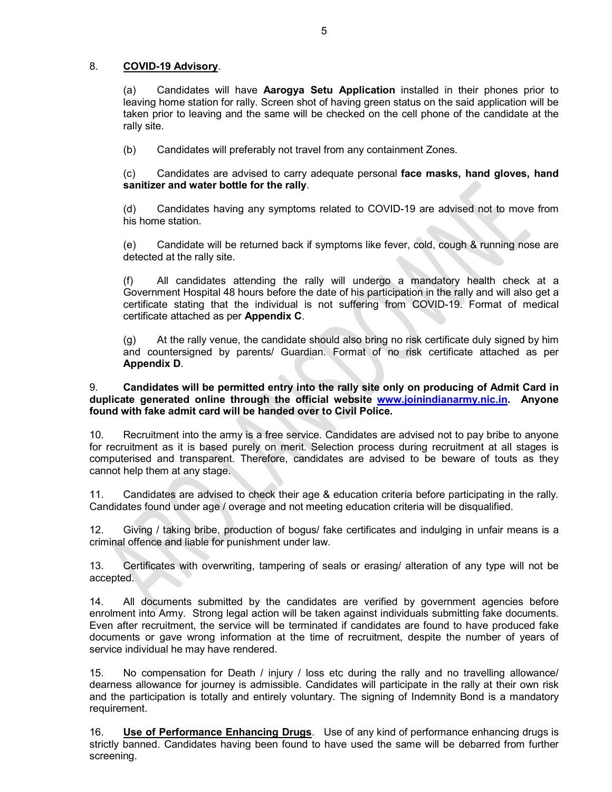### 8. **COVID-19 Advisory**.

(a) Candidates will have **Aarogya Setu Application** installed in their phones prior to leaving home station for rally. Screen shot of having green status on the said application will be taken prior to leaving and the same will be checked on the cell phone of the candidate at the rally site.

(b) Candidates will preferably not travel from any containment Zones.

(c) Candidates are advised to carry adequate personal **face masks, hand gloves, hand sanitizer and water bottle for the rally**.

(d) Candidates having any symptoms related to COVID-19 are advised not to move from his home station.

(e) Candidate will be returned back if symptoms like fever, cold, cough & running nose are detected at the rally site.

(f) All candidates attending the rally will undergo a mandatory health check at a Government Hospital 48 hours before the date of his participation in the rally and will also get a certificate stating that the individual is not suffering from COVID-19. Format of medical certificate attached as per **Appendix C**.

(g) At the rally venue, the candidate should also bring no risk certificate duly signed by him and countersigned by parents/ Guardian. Format of no risk certificate attached as per **Appendix D**.

9. **Candidates will be permitted entry into the rally site only on producing of Admit Card in duplicate generated online through the official website www.joinindianarmy.nic.in. Anyone found with fake admit card will be handed over to Civil Police.**

10. Recruitment into the army is a free service. Candidates are advised not to pay bribe to anyone for recruitment as it is based purely on merit. Selection process during recruitment at all stages is computerised and transparent. Therefore, candidates are advised to be beware of touts as they cannot help them at any stage.

11. Candidates are advised to check their age & education criteria before participating in the rally. Candidates found under age / overage and not meeting education criteria will be disqualified.

12. Giving / taking bribe, production of bogus/ fake certificates and indulging in unfair means is a criminal offence and liable for punishment under law.

13. Certificates with overwriting, tampering of seals or erasing/ alteration of any type will not be accepted.

14. All documents submitted by the candidates are verified by government agencies before enrolment into Army. Strong legal action will be taken against individuals submitting fake documents. Even after recruitment, the service will be terminated if candidates are found to have produced fake documents or gave wrong information at the time of recruitment, despite the number of years of service individual he may have rendered.

15. No compensation for Death / injury / loss etc during the rally and no travelling allowance/ dearness allowance for journey is admissible. Candidates will participate in the rally at their own risk and the participation is totally and entirely voluntary. The signing of Indemnity Bond is a mandatory requirement.

16. **Use of Performance Enhancing Drugs**. Use of any kind of performance enhancing drugs is strictly banned. Candidates having been found to have used the same will be debarred from further screening.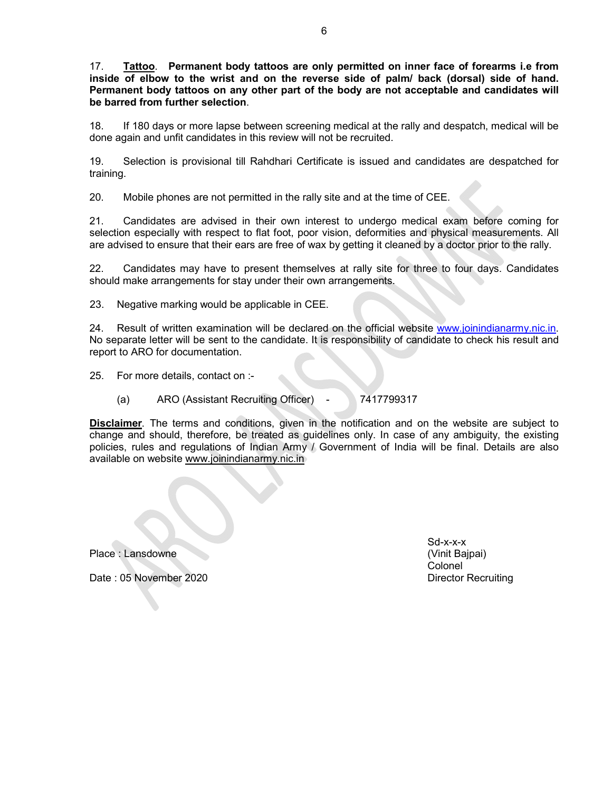17. **Tattoo**. **Permanent body tattoos are only permitted on inner face of forearms i.e from inside of elbow to the wrist and on the reverse side of palm/ back (dorsal) side of hand. Permanent body tattoos on any other part of the body are not acceptable and candidates will be barred from further selection**.

18. If 180 days or more lapse between screening medical at the rally and despatch, medical will be done again and unfit candidates in this review will not be recruited.

19. Selection is provisional till Rahdhari Certificate is issued and candidates are despatched for training.

20. Mobile phones are not permitted in the rally site and at the time of CEE.

21. Candidates are advised in their own interest to undergo medical exam before coming for selection especially with respect to flat foot, poor vision, deformities and physical measurements. All are advised to ensure that their ears are free of wax by getting it cleaned by a doctor prior to the rally.

22. Candidates may have to present themselves at rally site for three to four days. Candidates should make arrangements for stay under their own arrangements.

23. Negative marking would be applicable in CEE.

24. Result of written examination will be declared on the official website www.joinindianarmy.nic.in. No separate letter will be sent to the candidate. It is responsibility of candid[ate to check his re](http://www.joinindianarmy.nic.in/)sult and report to ARO for documentation.

25. For more details, contact on :-

(a) ARO (Assistant Recruiting Officer) - 7417799317

**Disclaimer**. The terms and conditions, given in the notification and on the website are subject to change and should, therefore, be treated as guidelines only. In case of any ambiguity, the existing policies, rules and regulations of Indian Army / Government of India will be final. Details are also available on website www.joinindianarmy.nic.in

Place : Lansdowne (Vinit Bajpai)

Sd-x-x-x Colonel

Date : 05 November 2020 Director Recruiting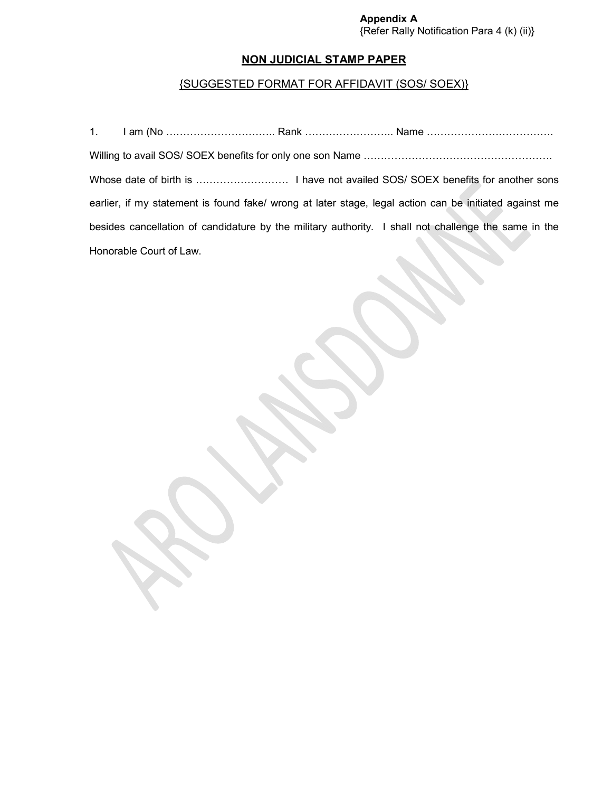#### **Appendix A** {Refer Rally Notification Para 4 (k) (ii)}

# **NON JUDICIAL STAMP PAPER**

# {SUGGESTED FORMAT FOR AFFIDAVIT (SOS/ SOEX)}

|                         | earlier, if my statement is found fake/ wrong at later stage, legal action can be initiated against me |
|-------------------------|--------------------------------------------------------------------------------------------------------|
|                         | besides cancellation of candidature by the military authority. I shall not challenge the same in the   |
| Honorable Court of Law. |                                                                                                        |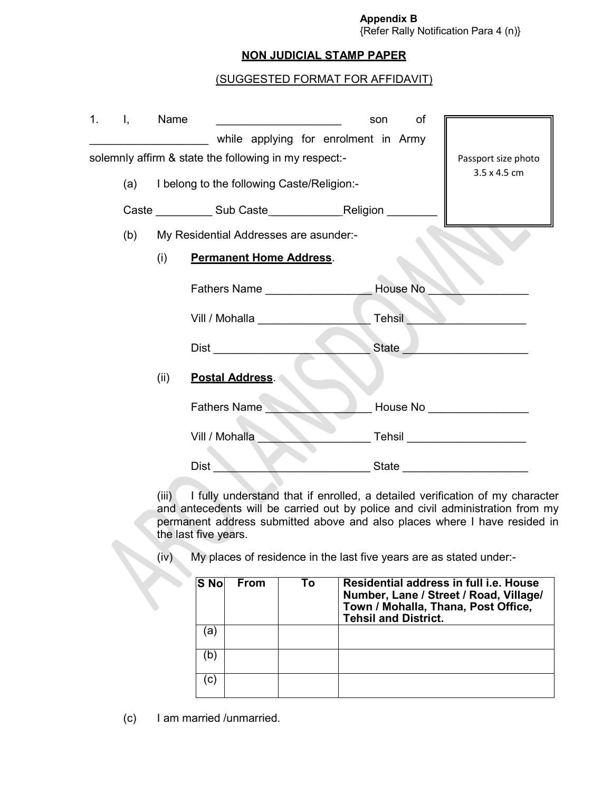#### **Appendix B** {Refer Rally Notification Para 4 (n)}

## **NON JUDICIAL STAMP PAPER**

## (SUGGESTED FORMAT FOR AFFIDAVIT)

| 1. | Ι,  | Name |                                                       | of<br>son |                                                |
|----|-----|------|-------------------------------------------------------|-----------|------------------------------------------------|
|    |     |      | while applying for enrolment in Army                  |           |                                                |
|    |     |      | solemnly affirm & state the following in my respect:- |           | Passport size photo                            |
|    | (a) |      | I belong to the following Caste/Religion:-            |           | 3.5 x 4.5 cm                                   |
|    |     |      | Caste Sub Caste Religion                              |           |                                                |
|    | (b) |      | My Residential Addresses are asunder:-                |           |                                                |
|    |     | (i)  | <b>Permanent Home Address.</b>                        |           |                                                |
|    |     |      | Fathers Name _________________                        | House No  |                                                |
|    |     |      | Vill / Mohalla <b>Marc</b>                            | Tehsil    |                                                |
|    |     |      | Dist <b>Distance</b>                                  | State     | <u> 1980 - John Stein, mars and de Branden</u> |
|    |     | (ii) | Postal Address.                                       |           |                                                |
|    |     |      | Fathers Name                                          |           | House No _________________                     |
|    |     |      | Vill / Mohalla                                        |           | Tehsil _______________________                 |
|    |     |      | Dist                                                  |           |                                                |

(iii) I fully understand that if enrolled, a detailed verification of my character and antecedents will be carried out by police and civil administration from my permanent address submitted above and also places where I have resided in the last five years.

(iv) My places of residence in the last five years are as stated under:-

| S <sub>No</sub> | <b>From</b> | To | Residential address in full i.e. House<br>Number, Lane / Street / Road, Village/<br>Town / Mohalla, Thana, Post Office,<br><b>Tehsil and District.</b> |
|-----------------|-------------|----|--------------------------------------------------------------------------------------------------------------------------------------------------------|
| a)              |             |    |                                                                                                                                                        |
| (b              |             |    |                                                                                                                                                        |
| C)              |             |    |                                                                                                                                                        |

(c) I am married /unmarried.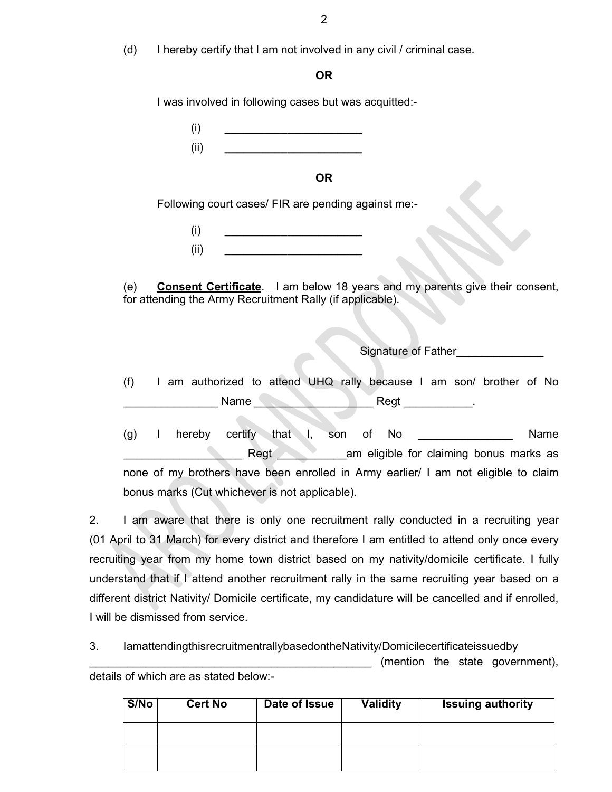(d) I hereby certify that I am not involved in any civil / criminal case.

## **OR**

I was involved in following cases but was acquitted:-

| (i)  |  |  |
|------|--|--|
| (ii) |  |  |

## **OR**

Following court cases/ FIR are pending against me:-

(i) **\_\_\_\_\_\_\_\_\_\_\_\_\_\_\_\_\_\_\_\_\_\_** (ii) **\_\_\_\_\_\_\_\_\_\_\_\_\_\_\_\_\_\_\_\_\_\_**

(e) **Consent Certificate**. I am below 18 years and my parents give their consent, for attending the Army Recruitment Rally (if applicable).

Signature of Father\_\_\_\_\_\_\_\_\_\_\_\_\_\_

(f) I am authorized to attend UHQ rally because I am son/ brother of No Name Regt

(g) I hereby certify that I, son of No **No** Name Regt **Register All Allen am** eligible for claiming bonus marks as none of my brothers have been enrolled in Army earlier/ I am not eligible to claim bonus marks (Cut whichever is not applicable).

2. I am aware that there is only one recruitment rally conducted in a recruiting year (01 April to 31 March) for every district and therefore I am entitled to attend only once every recruiting year from my home town district based on my nativity/domicile certificate. I fully understand that if I attend another recruitment rally in the same recruiting year based on a different district Nativity/ Domicile certificate, my candidature will be cancelled and if enrolled, I will be dismissed from service.

3. IamattendingthisrecruitmentrallybasedontheNativity/Domicilecertificateissuedby

\_\_\_\_\_\_\_\_\_\_\_\_\_\_\_\_\_\_\_\_\_\_\_\_\_\_\_\_\_\_\_\_\_\_\_\_\_\_\_\_\_\_\_\_\_ (mention the state government), details of which are as stated below:-

| S/No | <b>Cert No</b> | Date of Issue | <b>Validity</b> | <b>Issuing authority</b> |
|------|----------------|---------------|-----------------|--------------------------|
|      |                |               |                 |                          |
|      |                |               |                 |                          |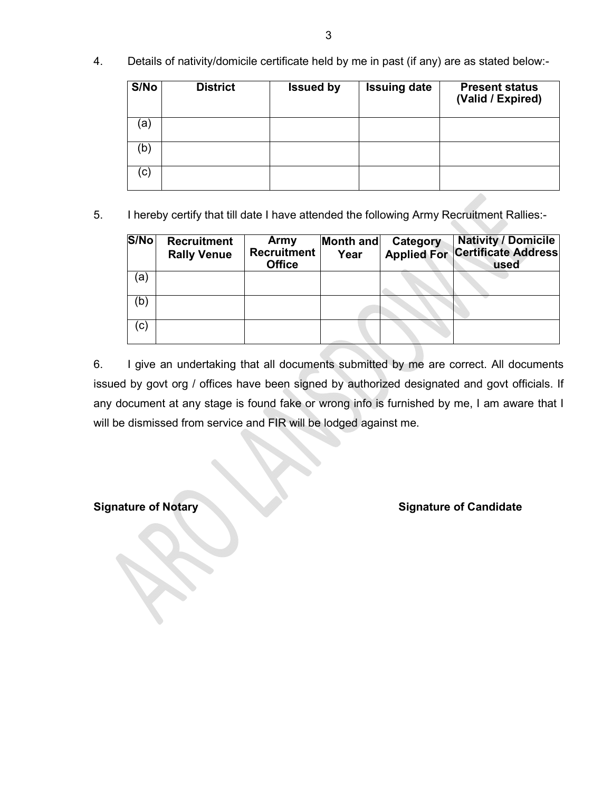4. Details of nativity/domicile certificate held by me in past (if any) are as stated below:-

| S/No         | <b>District</b> | <b>Issued by</b> | <b>Issuing date</b> | <b>Present status</b><br>(Valid / Expired) |
|--------------|-----------------|------------------|---------------------|--------------------------------------------|
| a            |                 |                  |                     |                                            |
| (b           |                 |                  |                     |                                            |
| $\mathbf{C}$ |                 |                  |                     |                                            |

5. I hereby certify that till date I have attended the following Army Recruitment Rallies:-

| S/No | <b>Recruitment</b><br><b>Rally Venue</b> | Army<br><b>Recruitment</b><br><b>Office</b> | Month and<br>Year | Category | <b>Nativity / Domicile</b><br><b>Applied For Certificate Address</b><br>used |
|------|------------------------------------------|---------------------------------------------|-------------------|----------|------------------------------------------------------------------------------|
| (a   |                                          |                                             |                   |          |                                                                              |
| (b)  |                                          |                                             |                   |          |                                                                              |
| (c)  |                                          |                                             |                   |          |                                                                              |

6. I give an undertaking that all documents submitted by me are correct. All documents issued by govt org / offices have been signed by authorized designated and govt officials. If any document at any stage is found fake or wrong info is furnished by me, I am aware that I will be dismissed from service and FIR will be lodged against me.

**Signature of Notary Signature of Candidate**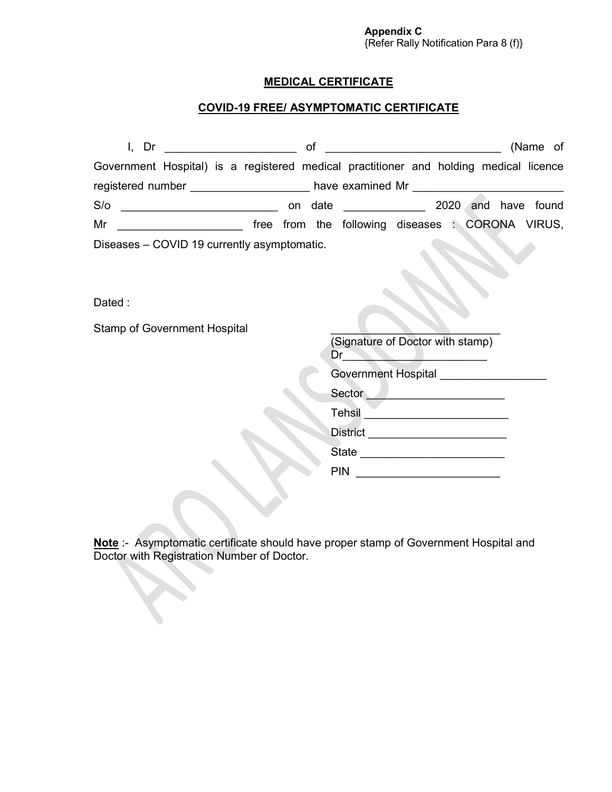# **MEDICAL CERTIFICATE**

# **COVID-19 FREE/ ASYMPTOMATIC CERTIFICATE**

| I, Dr                                                                                 |  | οt |                                                  |  | (Name of            |
|---------------------------------------------------------------------------------------|--|----|--------------------------------------------------|--|---------------------|
| Government Hospital) is a registered medical practitioner and holding medical licence |  |    |                                                  |  |                     |
|                                                                                       |  |    | have examined Mr __________________              |  |                     |
| S/O                                                                                   |  |    | on date <u>with the set on</u>                   |  | 2020 and have found |
| Mr                                                                                    |  |    | free from the following diseases : CORONA VIRUS, |  |                     |
| Diseases - COVID 19 currently asymptomatic.                                           |  |    |                                                  |  |                     |

Dated :

Stamp of Government Hospital

| (Signature of Doctor with stamp)<br>Dr |  |
|----------------------------------------|--|
| <b>Government Hospital</b>             |  |
| Sector                                 |  |
| Tehsil                                 |  |
| <b>District</b>                        |  |
| State                                  |  |
| <b>PIN</b>                             |  |

**Note** :- Asymptomatic certificate should have proper stamp of Government Hospital and Doctor with Registration Number of Doctor.